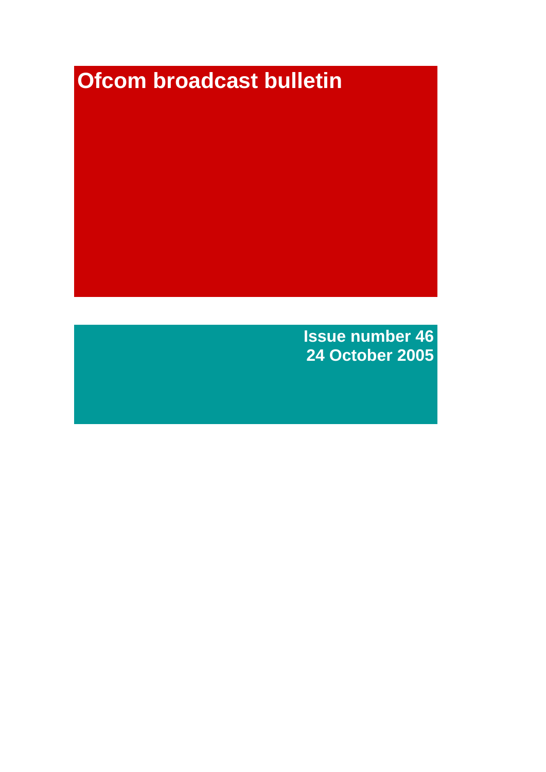# **Ofcom broadcast bulletin**

**Issue number 46 24 October 2005**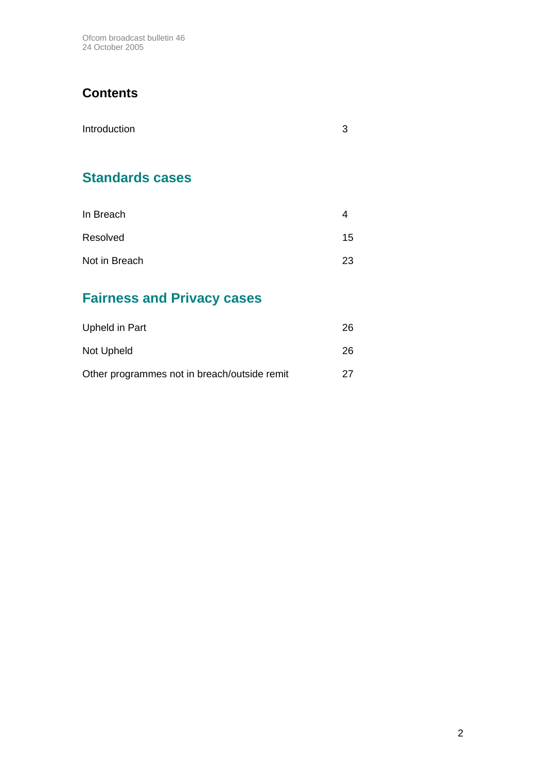Ofcom broadcast bulletin 46 24 October 2005

## **Contents**

| Introduction |  |
|--------------|--|
|              |  |

## **Standards cases**

| In Breach     |    |
|---------------|----|
| Resolved      | 15 |
| Not in Breach | 23 |

## **Fairness and Privacy cases**

| Upheld in Part                               | 26 |
|----------------------------------------------|----|
| Not Upheld                                   | 26 |
| Other programmes not in breach/outside remit | 27 |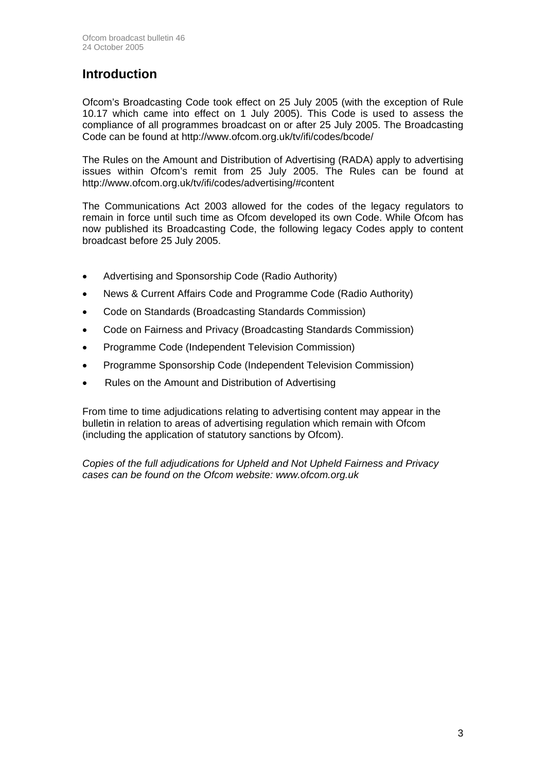## **Introduction**

Ofcom's Broadcasting Code took effect on 25 July 2005 (with the exception of Rule 10.17 which came into effect on 1 July 2005). This Code is used to assess the compliance of all programmes broadcast on or after 25 July 2005. The Broadcasting Code can be found at http://www.ofcom.org.uk/tv/ifi/codes/bcode/

The Rules on the Amount and Distribution of Advertising (RADA) apply to advertising issues within Ofcom's remit from 25 July 2005. The Rules can be found at http://www.ofcom.org.uk/tv/ifi/codes/advertising/#content

The Communications Act 2003 allowed for the codes of the legacy regulators to remain in force until such time as Ofcom developed its own Code. While Ofcom has now published its Broadcasting Code, the following legacy Codes apply to content broadcast before 25 July 2005.

- Advertising and Sponsorship Code (Radio Authority)
- News & Current Affairs Code and Programme Code (Radio Authority)
- Code on Standards (Broadcasting Standards Commission)
- Code on Fairness and Privacy (Broadcasting Standards Commission)
- Programme Code (Independent Television Commission)
- Programme Sponsorship Code (Independent Television Commission)
- Rules on the Amount and Distribution of Advertising

From time to time adjudications relating to advertising content may appear in the bulletin in relation to areas of advertising regulation which remain with Ofcom (including the application of statutory sanctions by Ofcom).

*Copies of the full adjudications for Upheld and Not Upheld Fairness and Privacy cases can be found on the Ofcom website: www.ofcom.org.uk*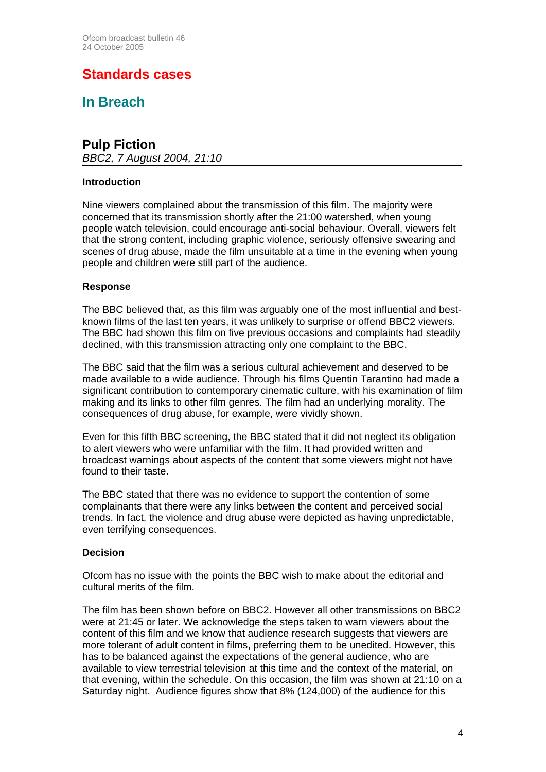## **Standards cases**

**In Breach** 

## **Pulp Fiction**

*BBC2, 7 August 2004, 21:10* 

## **Introduction**

Nine viewers complained about the transmission of this film. The majority were concerned that its transmission shortly after the 21:00 watershed, when young people watch television, could encourage anti-social behaviour. Overall, viewers felt that the strong content, including graphic violence, seriously offensive swearing and scenes of drug abuse, made the film unsuitable at a time in the evening when young people and children were still part of the audience.

## **Response**

The BBC believed that, as this film was arguably one of the most influential and bestknown films of the last ten years, it was unlikely to surprise or offend BBC2 viewers. The BBC had shown this film on five previous occasions and complaints had steadily declined, with this transmission attracting only one complaint to the BBC.

The BBC said that the film was a serious cultural achievement and deserved to be made available to a wide audience. Through his films Quentin Tarantino had made a significant contribution to contemporary cinematic culture, with his examination of film making and its links to other film genres. The film had an underlying morality. The consequences of drug abuse, for example, were vividly shown.

Even for this fifth BBC screening, the BBC stated that it did not neglect its obligation to alert viewers who were unfamiliar with the film. It had provided written and broadcast warnings about aspects of the content that some viewers might not have found to their taste.

The BBC stated that there was no evidence to support the contention of some complainants that there were any links between the content and perceived social trends. In fact, the violence and drug abuse were depicted as having unpredictable, even terrifying consequences.

## **Decision**

Ofcom has no issue with the points the BBC wish to make about the editorial and cultural merits of the film.

The film has been shown before on BBC2. However all other transmissions on BBC2 were at 21:45 or later. We acknowledge the steps taken to warn viewers about the content of this film and we know that audience research suggests that viewers are more tolerant of adult content in films, preferring them to be unedited. However, this has to be balanced against the expectations of the general audience, who are available to view terrestrial television at this time and the context of the material, on that evening, within the schedule. On this occasion, the film was shown at 21:10 on a Saturday night. Audience figures show that 8% (124,000) of the audience for this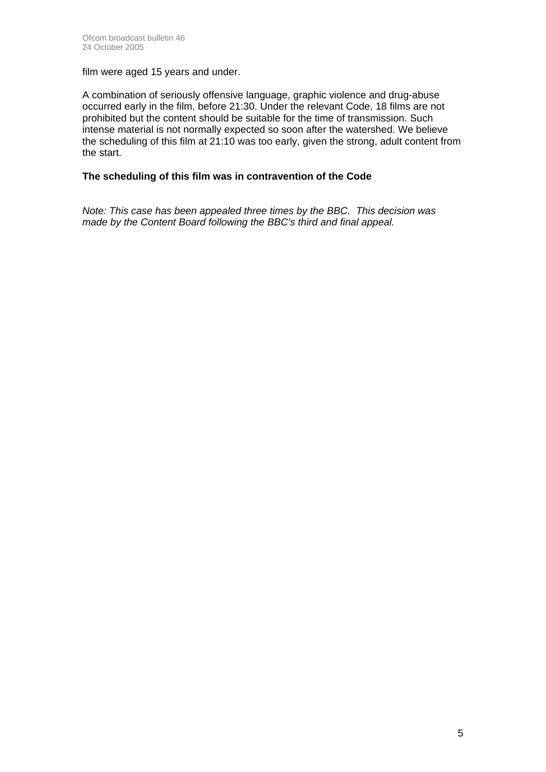film were aged 15 years and under.

A combination of seriously offensive language, graphic violence and drug-abuse occurred early in the film, before 21:30. Under the relevant Code, 18 films are not prohibited but the content should be suitable for the time of transmission. Such intense material is not normally expected so soon after the watershed. We believe the scheduling of this film at 21:10 was too early, given the strong, adult content from the start.

## **The scheduling of this film was in contravention of the Code**

*Note: This case has been appealed three times by the BBC. This decision was made by the Content Board following the BBC's third and final appeal.*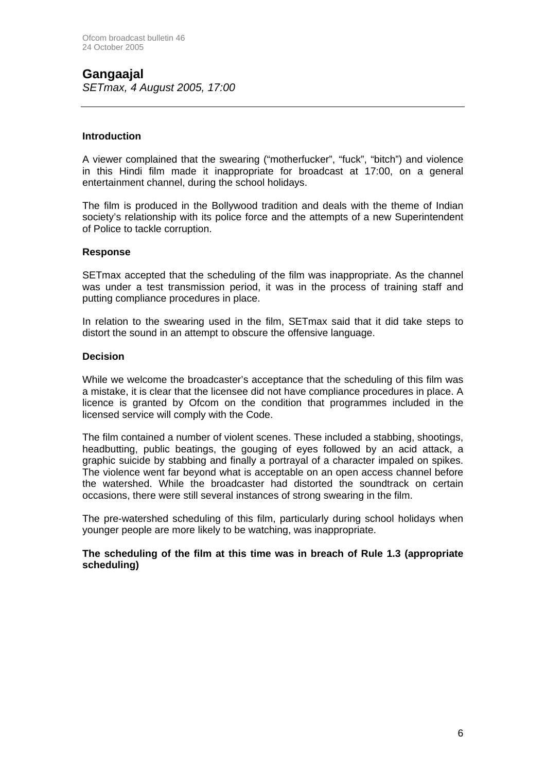## **Gangaajal**

*SETmax, 4 August 2005, 17:00* 

## **Introduction**

A viewer complained that the swearing ("motherfucker", "fuck", "bitch") and violence in this Hindi film made it inappropriate for broadcast at 17:00, on a general entertainment channel, during the school holidays.

The film is produced in the Bollywood tradition and deals with the theme of Indian society's relationship with its police force and the attempts of a new Superintendent of Police to tackle corruption.

## **Response**

SETmax accepted that the scheduling of the film was inappropriate. As the channel was under a test transmission period, it was in the process of training staff and putting compliance procedures in place.

In relation to the swearing used in the film, SETmax said that it did take steps to distort the sound in an attempt to obscure the offensive language.

### **Decision**

While we welcome the broadcaster's acceptance that the scheduling of this film was a mistake, it is clear that the licensee did not have compliance procedures in place. A licence is granted by Ofcom on the condition that programmes included in the licensed service will comply with the Code.

The film contained a number of violent scenes. These included a stabbing, shootings, headbutting, public beatings, the gouging of eyes followed by an acid attack, a graphic suicide by stabbing and finally a portrayal of a character impaled on spikes. The violence went far beyond what is acceptable on an open access channel before the watershed. While the broadcaster had distorted the soundtrack on certain occasions, there were still several instances of strong swearing in the film.

The pre-watershed scheduling of this film, particularly during school holidays when younger people are more likely to be watching, was inappropriate.

**The scheduling of the film at this time was in breach of Rule 1.3 (appropriate scheduling)**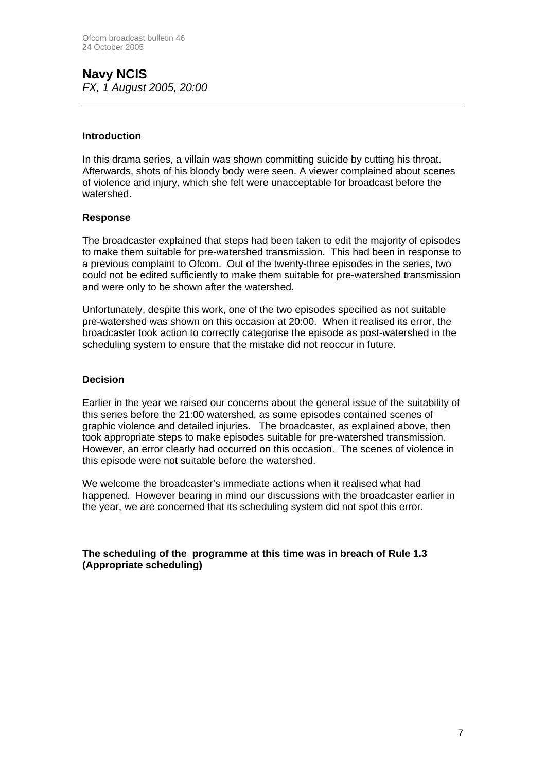## **Navy NCIS**  *FX, 1 August 2005, 20:00*

### **Introduction**

In this drama series, a villain was shown committing suicide by cutting his throat. Afterwards, shots of his bloody body were seen. A viewer complained about scenes of violence and injury, which she felt were unacceptable for broadcast before the watershed.

### **Response**

The broadcaster explained that steps had been taken to edit the majority of episodes to make them suitable for pre-watershed transmission. This had been in response to a previous complaint to Ofcom. Out of the twenty-three episodes in the series, two could not be edited sufficiently to make them suitable for pre-watershed transmission and were only to be shown after the watershed.

Unfortunately, despite this work, one of the two episodes specified as not suitable pre-watershed was shown on this occasion at 20:00. When it realised its error, the broadcaster took action to correctly categorise the episode as post-watershed in the scheduling system to ensure that the mistake did not reoccur in future.

### **Decision**

Earlier in the year we raised our concerns about the general issue of the suitability of this series before the 21:00 watershed, as some episodes contained scenes of graphic violence and detailed injuries. The broadcaster, as explained above, then took appropriate steps to make episodes suitable for pre-watershed transmission. However, an error clearly had occurred on this occasion. The scenes of violence in this episode were not suitable before the watershed.

We welcome the broadcaster's immediate actions when it realised what had happened. However bearing in mind our discussions with the broadcaster earlier in the year, we are concerned that its scheduling system did not spot this error.

**The scheduling of the programme at this time was in breach of Rule 1.3 (Appropriate scheduling)**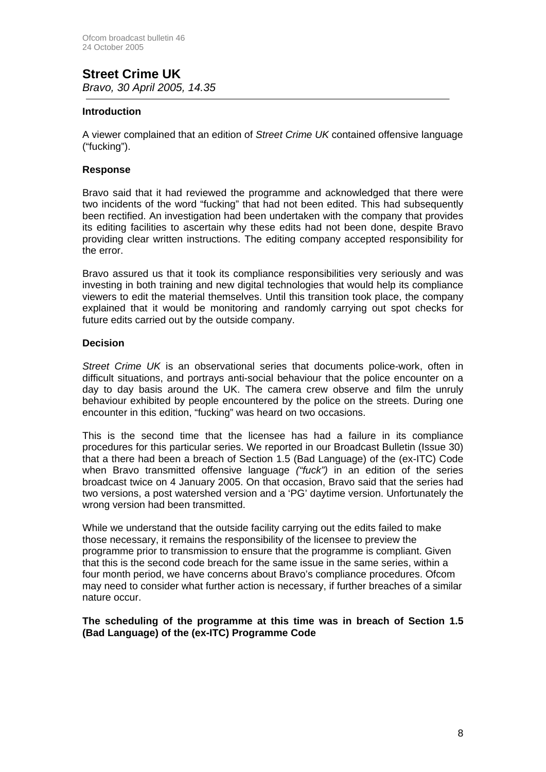## **Street Crime UK**  *Bravo, 30 April 2005, 14.35*

### **Introduction**

A viewer complained that an edition of *Street Crime UK* contained offensive language ("fucking").

### **Response**

Bravo said that it had reviewed the programme and acknowledged that there were two incidents of the word "fucking" that had not been edited. This had subsequently been rectified. An investigation had been undertaken with the company that provides its editing facilities to ascertain why these edits had not been done, despite Bravo providing clear written instructions. The editing company accepted responsibility for the error.

Bravo assured us that it took its compliance responsibilities very seriously and was investing in both training and new digital technologies that would help its compliance viewers to edit the material themselves. Until this transition took place, the company explained that it would be monitoring and randomly carrying out spot checks for future edits carried out by the outside company.

### **Decision**

*Street Crime UK* is an observational series that documents police-work, often in difficult situations, and portrays anti-social behaviour that the police encounter on a day to day basis around the UK. The camera crew observe and film the unruly behaviour exhibited by people encountered by the police on the streets. During one encounter in this edition, "fucking" was heard on two occasions.

This is the second time that the licensee has had a failure in its compliance procedures for this particular series. We reported in our Broadcast Bulletin (Issue 30) that a there had been a breach of Section 1.5 (Bad Language) of the (ex-ITC) Code when Bravo transmitted offensive language *("fuck")* in an edition of the series broadcast twice on 4 January 2005. On that occasion, Bravo said that the series had two versions, a post watershed version and a 'PG' daytime version. Unfortunately the wrong version had been transmitted.

While we understand that the outside facility carrying out the edits failed to make those necessary, it remains the responsibility of the licensee to preview the programme prior to transmission to ensure that the programme is compliant. Given that this is the second code breach for the same issue in the same series, within a four month period, we have concerns about Bravo's compliance procedures. Ofcom may need to consider what further action is necessary, if further breaches of a similar nature occur.

### **The scheduling of the programme at this time was in breach of Section 1.5 (Bad Language) of the (ex-ITC) Programme Code**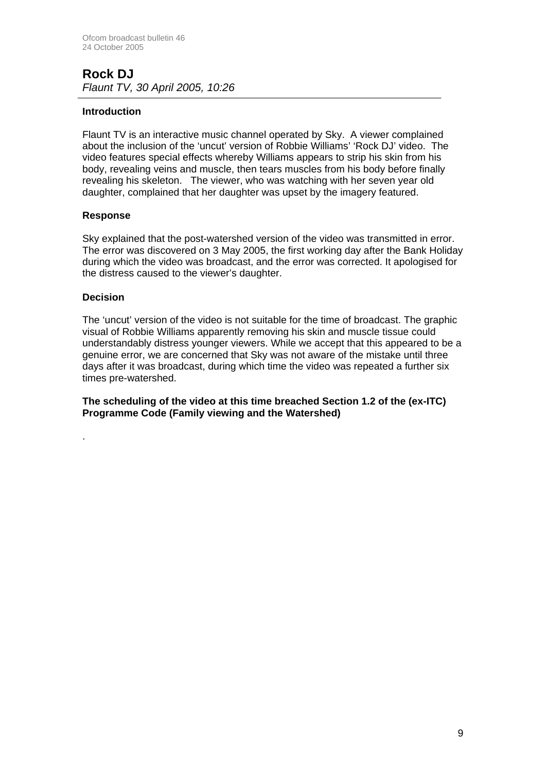## **Rock DJ**  *Flaunt TV, 30 April 2005, 10:26*

## **Introduction**

Flaunt TV is an interactive music channel operated by Sky. A viewer complained about the inclusion of the 'uncut' version of Robbie Williams' 'Rock DJ' video. The video features special effects whereby Williams appears to strip his skin from his body, revealing veins and muscle, then tears muscles from his body before finally revealing his skeleton. The viewer, who was watching with her seven year old daughter, complained that her daughter was upset by the imagery featured.

## **Response**

Sky explained that the post-watershed version of the video was transmitted in error. The error was discovered on 3 May 2005, the first working day after the Bank Holiday during which the video was broadcast, and the error was corrected. It apologised for the distress caused to the viewer's daughter.

### **Decision**

.

The 'uncut' version of the video is not suitable for the time of broadcast. The graphic visual of Robbie Williams apparently removing his skin and muscle tissue could understandably distress younger viewers. While we accept that this appeared to be a genuine error, we are concerned that Sky was not aware of the mistake until three days after it was broadcast, during which time the video was repeated a further six times pre-watershed.

**The scheduling of the video at this time breached Section 1.2 of the (ex-ITC) Programme Code (Family viewing and the Watershed)**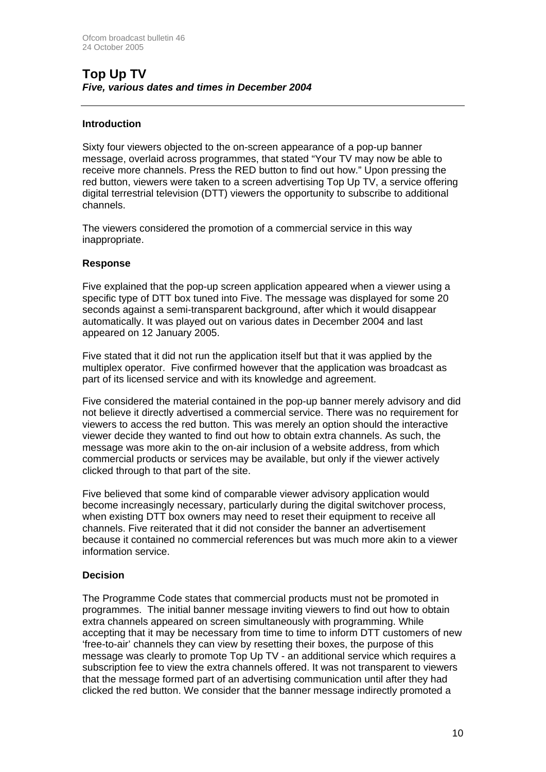## **Top Up TV**  *Five, various dates and times in December 2004*

## **Introduction**

Sixty four viewers objected to the on-screen appearance of a pop-up banner message, overlaid across programmes, that stated "Your TV may now be able to receive more channels. Press the RED button to find out how." Upon pressing the red button, viewers were taken to a screen advertising Top Up TV, a service offering digital terrestrial television (DTT) viewers the opportunity to subscribe to additional channels.

The viewers considered the promotion of a commercial service in this way inappropriate.

### **Response**

Five explained that the pop-up screen application appeared when a viewer using a specific type of DTT box tuned into Five. The message was displayed for some 20 seconds against a semi-transparent background, after which it would disappear automatically. It was played out on various dates in December 2004 and last appeared on 12 January 2005.

Five stated that it did not run the application itself but that it was applied by the multiplex operator. Five confirmed however that the application was broadcast as part of its licensed service and with its knowledge and agreement.

Five considered the material contained in the pop-up banner merely advisory and did not believe it directly advertised a commercial service. There was no requirement for viewers to access the red button. This was merely an option should the interactive viewer decide they wanted to find out how to obtain extra channels. As such, the message was more akin to the on-air inclusion of a website address, from which commercial products or services may be available, but only if the viewer actively clicked through to that part of the site.

Five believed that some kind of comparable viewer advisory application would become increasingly necessary, particularly during the digital switchover process, when existing DTT box owners may need to reset their equipment to receive all channels. Five reiterated that it did not consider the banner an advertisement because it contained no commercial references but was much more akin to a viewer information service.

## **Decision**

The Programme Code states that commercial products must not be promoted in programmes. The initial banner message inviting viewers to find out how to obtain extra channels appeared on screen simultaneously with programming. While accepting that it may be necessary from time to time to inform DTT customers of new 'free-to-air' channels they can view by resetting their boxes, the purpose of this message was clearly to promote Top Up TV - an additional service which requires a subscription fee to view the extra channels offered. It was not transparent to viewers that the message formed part of an advertising communication until after they had clicked the red button. We consider that the banner message indirectly promoted a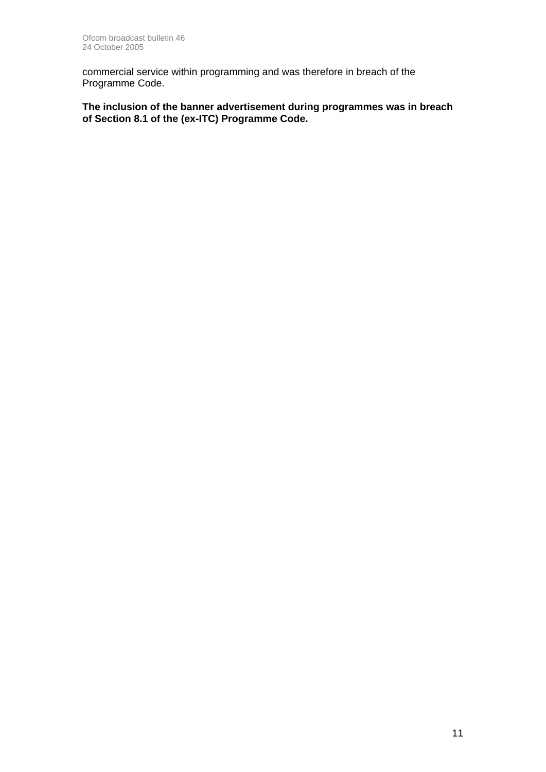commercial service within programming and was therefore in breach of the Programme Code.

**The inclusion of the banner advertisement during programmes was in breach of Section 8.1 of the (ex-ITC) Programme Code.**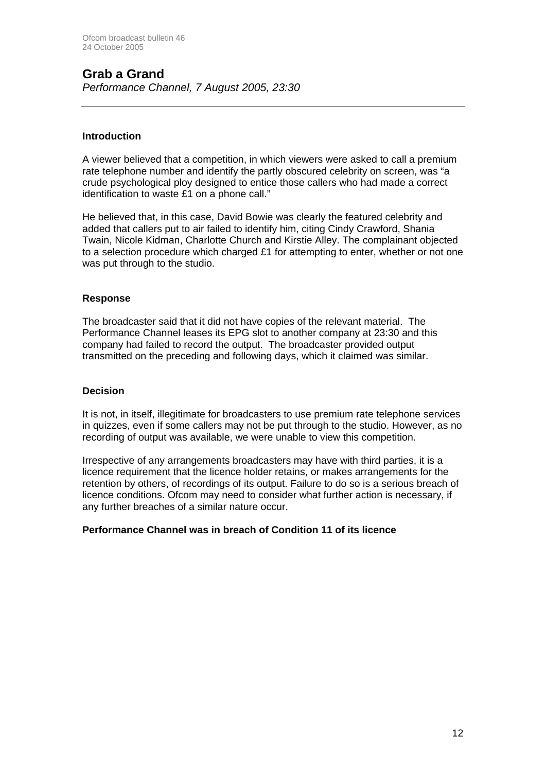## **Grab a Grand**

*Performance Channel, 7 August 2005, 23:30*

## **Introduction**

A viewer believed that a competition, in which viewers were asked to call a premium rate telephone number and identify the partly obscured celebrity on screen, was "a crude psychological ploy designed to entice those callers who had made a correct identification to waste £1 on a phone call."

He believed that, in this case, David Bowie was clearly the featured celebrity and added that callers put to air failed to identify him, citing Cindy Crawford, Shania Twain, Nicole Kidman, Charlotte Church and Kirstie Alley. The complainant objected to a selection procedure which charged £1 for attempting to enter, whether or not one was put through to the studio.

## **Response**

The broadcaster said that it did not have copies of the relevant material. The Performance Channel leases its EPG slot to another company at 23:30 and this company had failed to record the output. The broadcaster provided output transmitted on the preceding and following days, which it claimed was similar.

## **Decision**

It is not, in itself, illegitimate for broadcasters to use premium rate telephone services in quizzes, even if some callers may not be put through to the studio. However, as no recording of output was available, we were unable to view this competition.

Irrespective of any arrangements broadcasters may have with third parties, it is a licence requirement that the licence holder retains, or makes arrangements for the retention by others, of recordings of its output. Failure to do so is a serious breach of licence conditions. Ofcom may need to consider what further action is necessary, if any further breaches of a similar nature occur.

## **Performance Channel was in breach of Condition 11 of its licence**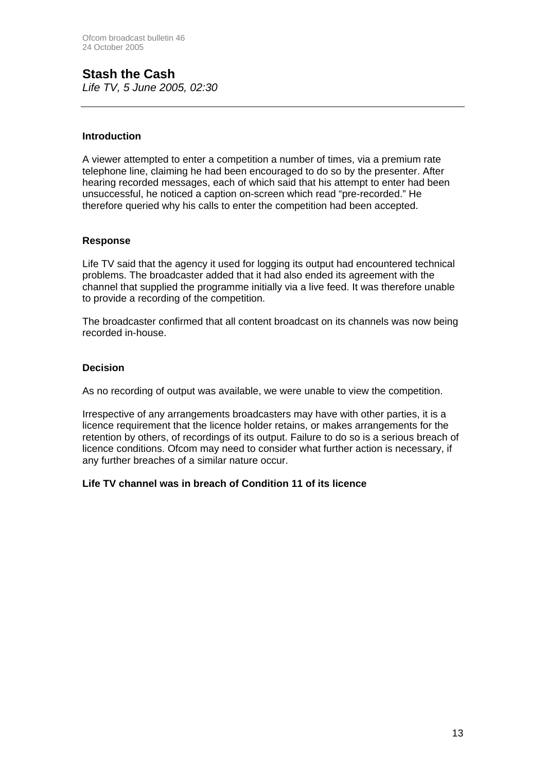## **Stash the Cash**  *Life TV, 5 June 2005, 02:30*

## **Introduction**

A viewer attempted to enter a competition a number of times, via a premium rate telephone line, claiming he had been encouraged to do so by the presenter. After hearing recorded messages, each of which said that his attempt to enter had been unsuccessful, he noticed a caption on-screen which read "pre-recorded." He therefore queried why his calls to enter the competition had been accepted.

### **Response**

Life TV said that the agency it used for logging its output had encountered technical problems. The broadcaster added that it had also ended its agreement with the channel that supplied the programme initially via a live feed. It was therefore unable to provide a recording of the competition.

The broadcaster confirmed that all content broadcast on its channels was now being recorded in-house.

### **Decision**

As no recording of output was available, we were unable to view the competition.

Irrespective of any arrangements broadcasters may have with other parties, it is a licence requirement that the licence holder retains, or makes arrangements for the retention by others, of recordings of its output. Failure to do so is a serious breach of licence conditions. Ofcom may need to consider what further action is necessary, if any further breaches of a similar nature occur.

#### **Life TV channel was in breach of Condition 11 of its licence**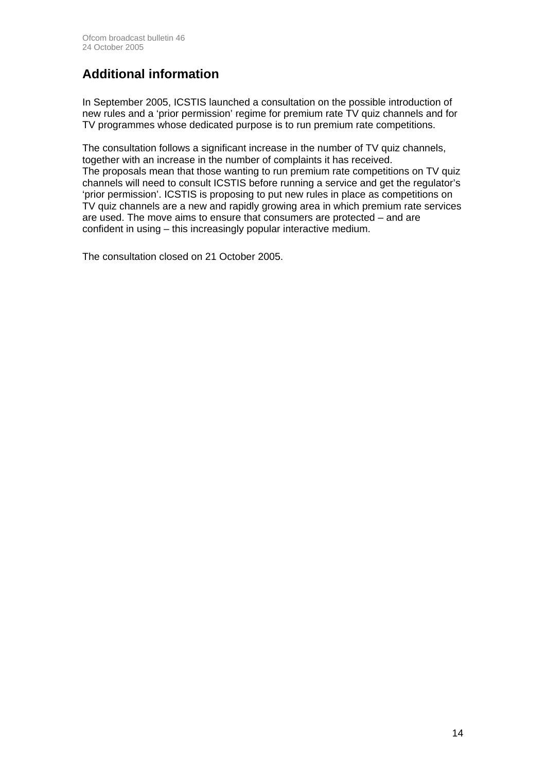## **Additional information**

In September 2005, ICSTIS launched a consultation on the possible introduction of new rules and a 'prior permission' regime for premium rate TV quiz channels and for TV programmes whose dedicated purpose is to run premium rate competitions.

The consultation follows a significant increase in the number of TV quiz channels, together with an increase in the number of complaints it has received. The proposals mean that those wanting to run premium rate competitions on TV quiz channels will need to consult ICSTIS before running a service and get the regulator's 'prior permission'. ICSTIS is proposing to put new rules in place as competitions on TV quiz channels are a new and rapidly growing area in which premium rate services are used. The move aims to ensure that consumers are protected – and are confident in using – this increasingly popular interactive medium.

The consultation closed on 21 October 2005.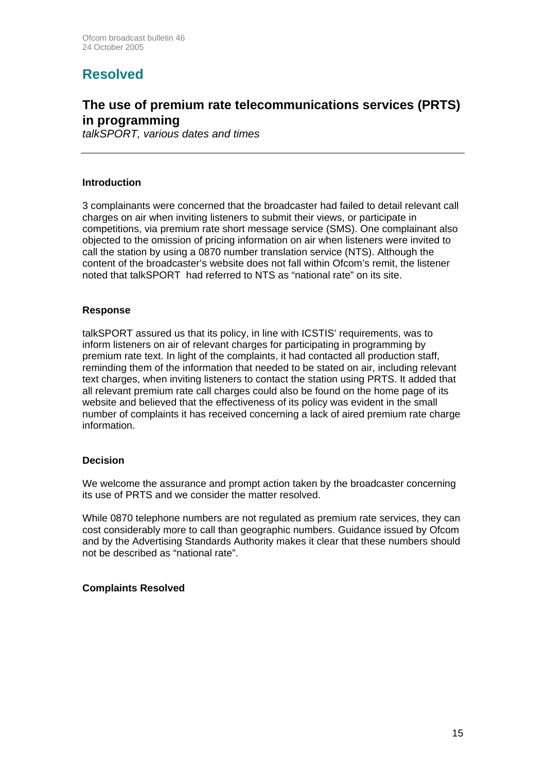## **Resolved**

## **The use of premium rate telecommunications services (PRTS) in programming**

*talkSPORT, various dates and times*

### **Introduction**

3 complainants were concerned that the broadcaster had failed to detail relevant call charges on air when inviting listeners to submit their views, or participate in competitions, via premium rate short message service (SMS). One complainant also objected to the omission of pricing information on air when listeners were invited to call the station by using a 0870 number translation service (NTS). Although the content of the broadcaster's website does not fall within Ofcom's remit, the listener noted that talkSPORT had referred to NTS as "national rate" on its site.

### **Response**

talkSPORT assured us that its policy, in line with ICSTIS' requirements, was to inform listeners on air of relevant charges for participating in programming by premium rate text. In light of the complaints, it had contacted all production staff, reminding them of the information that needed to be stated on air, including relevant text charges, when inviting listeners to contact the station using PRTS. It added that all relevant premium rate call charges could also be found on the home page of its website and believed that the effectiveness of its policy was evident in the small number of complaints it has received concerning a lack of aired premium rate charge information.

## **Decision**

We welcome the assurance and prompt action taken by the broadcaster concerning its use of PRTS and we consider the matter resolved.

While 0870 telephone numbers are not regulated as premium rate services, they can cost considerably more to call than geographic numbers. Guidance issued by Ofcom and by the Advertising Standards Authority makes it clear that these numbers should not be described as "national rate".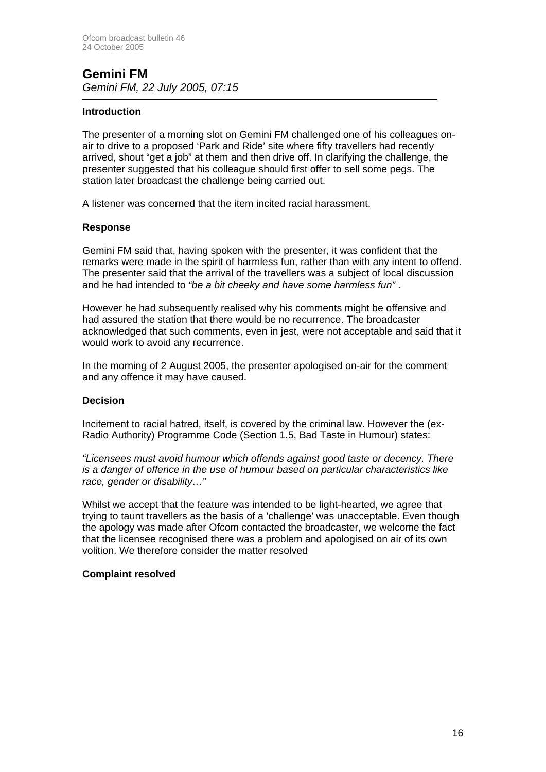## **Gemini FM**  *Gemini FM, 22 July 2005, 07:15*

#### -**Introduction**

The presenter of a morning slot on Gemini FM challenged one of his colleagues onair to drive to a proposed 'Park and Ride' site where fifty travellers had recently arrived, shout "get a job" at them and then drive off. In clarifying the challenge, the presenter suggested that his colleague should first offer to sell some pegs. The station later broadcast the challenge being carried out.

A listener was concerned that the item incited racial harassment.

## **Response**

Gemini FM said that, having spoken with the presenter, it was confident that the remarks were made in the spirit of harmless fun, rather than with any intent to offend. The presenter said that the arrival of the travellers was a subject of local discussion and he had intended to *"be a bit cheeky and have some harmless fun"* .

However he had subsequently realised why his comments might be offensive and had assured the station that there would be no recurrence. The broadcaster acknowledged that such comments, even in jest, were not acceptable and said that it would work to avoid any recurrence.

In the morning of 2 August 2005, the presenter apologised on-air for the comment and any offence it may have caused.

#### **Decision**

Incitement to racial hatred, itself, is covered by the criminal law. However the (ex-Radio Authority) Programme Code (Section 1.5, Bad Taste in Humour) states:

*"Licensees must avoid humour which offends against good taste or decency. There is a danger of offence in the use of humour based on particular characteristics like race, gender or disability…"*

Whilst we accept that the feature was intended to be light-hearted, we agree that trying to taunt travellers as the basis of a 'challenge' was unacceptable. Even though the apology was made after Ofcom contacted the broadcaster, we welcome the fact that the licensee recognised there was a problem and apologised on air of its own volition. We therefore consider the matter resolved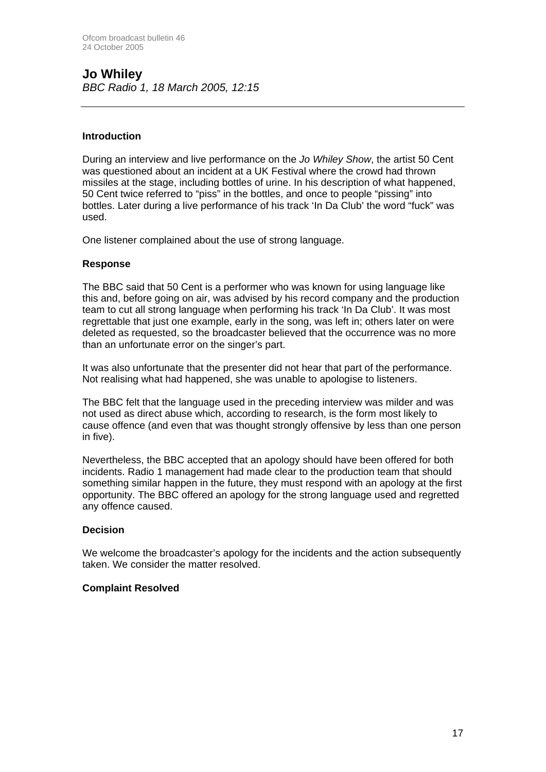## **Jo Whiley**  *BBC Radio 1, 18 March 2005, 12:15*

## **Introduction**

During an interview and live performance on the *Jo Whiley Show*, the artist 50 Cent was questioned about an incident at a UK Festival where the crowd had thrown missiles at the stage, including bottles of urine. In his description of what happened, 50 Cent twice referred to "piss" in the bottles, and once to people "pissing" into bottles. Later during a live performance of his track 'In Da Club' the word "fuck" was used.

One listener complained about the use of strong language.

### **Response**

The BBC said that 50 Cent is a performer who was known for using language like this and, before going on air, was advised by his record company and the production team to cut all strong language when performing his track 'In Da Club'. It was most regrettable that just one example, early in the song, was left in; others later on were deleted as requested, so the broadcaster believed that the occurrence was no more than an unfortunate error on the singer's part.

It was also unfortunate that the presenter did not hear that part of the performance. Not realising what had happened, she was unable to apologise to listeners.

The BBC felt that the language used in the preceding interview was milder and was not used as direct abuse which, according to research, is the form most likely to cause offence (and even that was thought strongly offensive by less than one person in five).

Nevertheless, the BBC accepted that an apology should have been offered for both incidents. Radio 1 management had made clear to the production team that should something similar happen in the future, they must respond with an apology at the first opportunity. The BBC offered an apology for the strong language used and regretted any offence caused.

## **Decision**

We welcome the broadcaster's apology for the incidents and the action subsequently taken. We consider the matter resolved.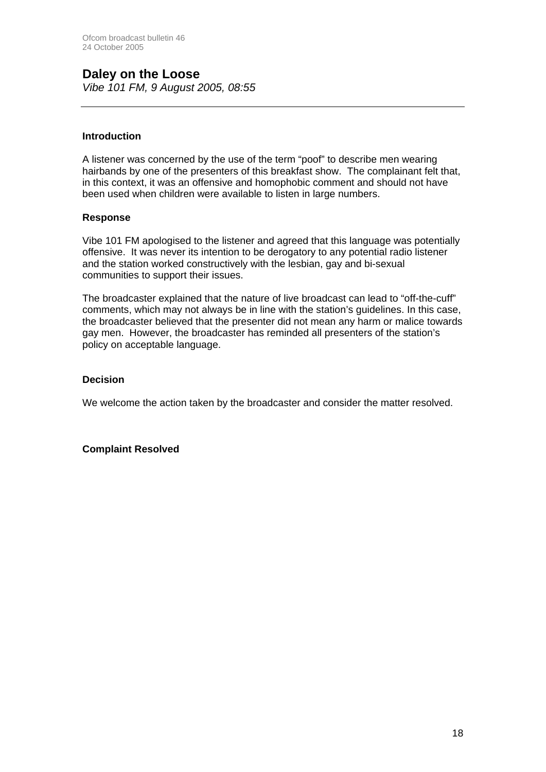## **Daley on the Loose**

*Vibe 101 FM, 9 August 2005, 08:55*

## **Introduction**

A listener was concerned by the use of the term "poof" to describe men wearing hairbands by one of the presenters of this breakfast show. The complainant felt that, in this context, it was an offensive and homophobic comment and should not have been used when children were available to listen in large numbers.

## **Response**

Vibe 101 FM apologised to the listener and agreed that this language was potentially offensive. It was never its intention to be derogatory to any potential radio listener and the station worked constructively with the lesbian, gay and bi-sexual communities to support their issues.

The broadcaster explained that the nature of live broadcast can lead to "off-the-cuff" comments, which may not always be in line with the station's guidelines. In this case, the broadcaster believed that the presenter did not mean any harm or malice towards gay men. However, the broadcaster has reminded all presenters of the station's policy on acceptable language.

## **Decision**

We welcome the action taken by the broadcaster and consider the matter resolved.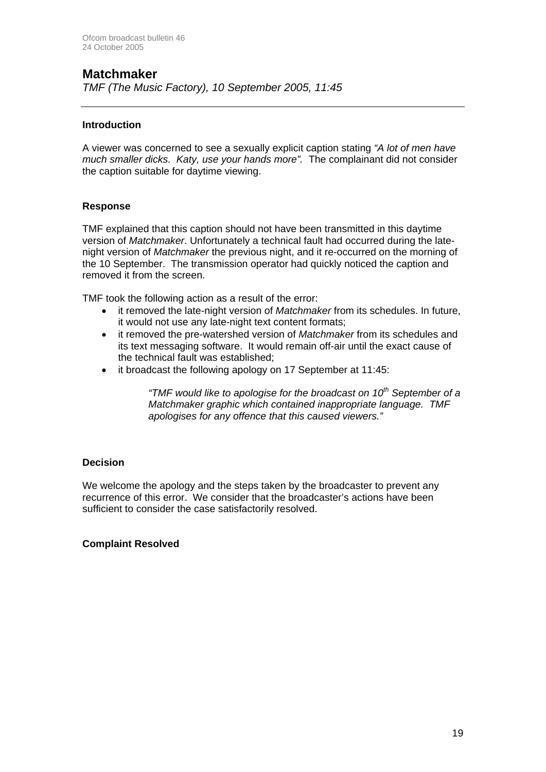## **Matchmaker**

*TMF (The Music Factory), 10 September 2005, 11:45*

## **Introduction**

A viewer was concerned to see a sexually explicit caption stating *"A lot of men have much smaller dicks. Katy, use your hands more".* The complainant did not consider the caption suitable for daytime viewing.

## **Response**

TMF explained that this caption should not have been transmitted in this daytime version of *Matchmaker*. Unfortunately a technical fault had occurred during the latenight version of *Matchmaker* the previous night, and it re-occurred on the morning of the 10 September. The transmission operator had quickly noticed the caption and removed it from the screen.

TMF took the following action as a result of the error:

- it removed the late-night version of *Matchmaker* from its schedules. In future, it would not use any late-night text content formats;
- it removed the pre-watershed version of *Matchmaker* from its schedules and its text messaging software. It would remain off-air until the exact cause of the technical fault was established;
- it broadcast the following apology on 17 September at 11:45:

*"TMF would like to apologise for the broadcast on 10th September of a Matchmaker graphic which contained inappropriate language. TMF apologises for any offence that this caused viewers."* 

## **Decision**

We welcome the apology and the steps taken by the broadcaster to prevent any recurrence of this error. We consider that the broadcaster's actions have been sufficient to consider the case satisfactorily resolved.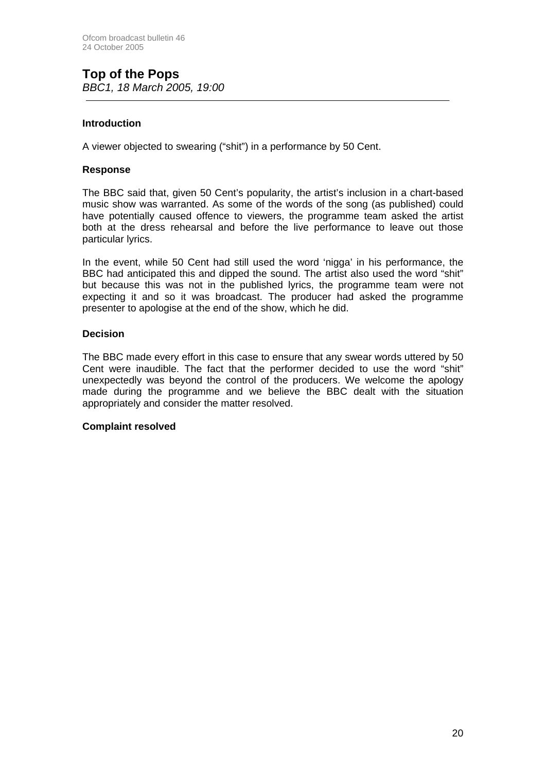## **Top of the Pops**  *BBC1, 18 March 2005, 19:00*

## **Introduction**

A viewer objected to swearing ("shit") in a performance by 50 Cent.

### **Response**

The BBC said that, given 50 Cent's popularity, the artist's inclusion in a chart-based music show was warranted. As some of the words of the song (as published) could have potentially caused offence to viewers, the programme team asked the artist both at the dress rehearsal and before the live performance to leave out those particular lyrics.

In the event, while 50 Cent had still used the word 'nigga' in his performance, the BBC had anticipated this and dipped the sound. The artist also used the word "shit" but because this was not in the published lyrics, the programme team were not expecting it and so it was broadcast. The producer had asked the programme presenter to apologise at the end of the show, which he did.

### **Decision**

The BBC made every effort in this case to ensure that any swear words uttered by 50 Cent were inaudible. The fact that the performer decided to use the word "shit" unexpectedly was beyond the control of the producers. We welcome the apology made during the programme and we believe the BBC dealt with the situation appropriately and consider the matter resolved.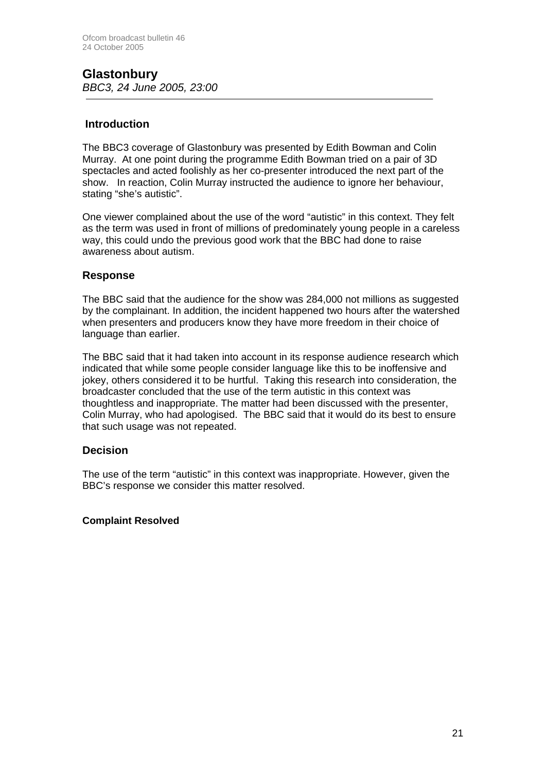## **Glastonbury**  *BBC3, 24 June 2005, 23:00*

## **Introduction**

The BBC3 coverage of Glastonbury was presented by Edith Bowman and Colin Murray. At one point during the programme Edith Bowman tried on a pair of 3D spectacles and acted foolishly as her co-presenter introduced the next part of the show. In reaction, Colin Murray instructed the audience to ignore her behaviour, stating "she's autistic".

One viewer complained about the use of the word "autistic" in this context. They felt as the term was used in front of millions of predominately young people in a careless way, this could undo the previous good work that the BBC had done to raise awareness about autism.

## **Response**

The BBC said that the audience for the show was 284,000 not millions as suggested by the complainant. In addition, the incident happened two hours after the watershed when presenters and producers know they have more freedom in their choice of language than earlier.

The BBC said that it had taken into account in its response audience research which indicated that while some people consider language like this to be inoffensive and jokey, others considered it to be hurtful. Taking this research into consideration, the broadcaster concluded that the use of the term autistic in this context was thoughtless and inappropriate. The matter had been discussed with the presenter, Colin Murray, who had apologised. The BBC said that it would do its best to ensure that such usage was not repeated.

## **Decision**

The use of the term "autistic" in this context was inappropriate. However, given the BBC's response we consider this matter resolved.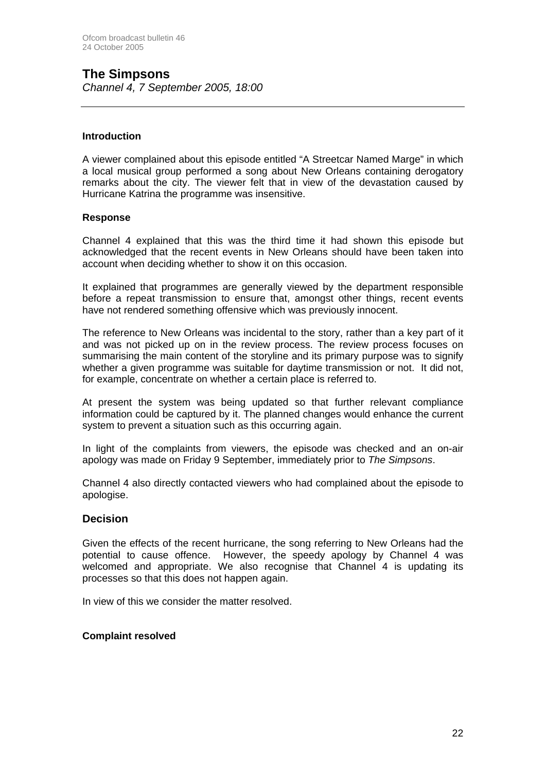## **The Simpsons**

*Channel 4, 7 September 2005, 18:00*

## **Introduction**

A viewer complained about this episode entitled "A Streetcar Named Marge" in which a local musical group performed a song about New Orleans containing derogatory remarks about the city. The viewer felt that in view of the devastation caused by Hurricane Katrina the programme was insensitive.

### **Response**

Channel 4 explained that this was the third time it had shown this episode but acknowledged that the recent events in New Orleans should have been taken into account when deciding whether to show it on this occasion.

It explained that programmes are generally viewed by the department responsible before a repeat transmission to ensure that, amongst other things, recent events have not rendered something offensive which was previously innocent.

The reference to New Orleans was incidental to the story, rather than a key part of it and was not picked up on in the review process. The review process focuses on summarising the main content of the storyline and its primary purpose was to signify whether a given programme was suitable for daytime transmission or not. It did not, for example, concentrate on whether a certain place is referred to.

At present the system was being updated so that further relevant compliance information could be captured by it. The planned changes would enhance the current system to prevent a situation such as this occurring again.

In light of the complaints from viewers, the episode was checked and an on-air apology was made on Friday 9 September, immediately prior to *The Simpsons*.

Channel 4 also directly contacted viewers who had complained about the episode to apologise.

## **Decision**

Given the effects of the recent hurricane, the song referring to New Orleans had the potential to cause offence. However, the speedy apology by Channel 4 was welcomed and appropriate. We also recognise that Channel 4 is updating its processes so that this does not happen again.

In view of this we consider the matter resolved.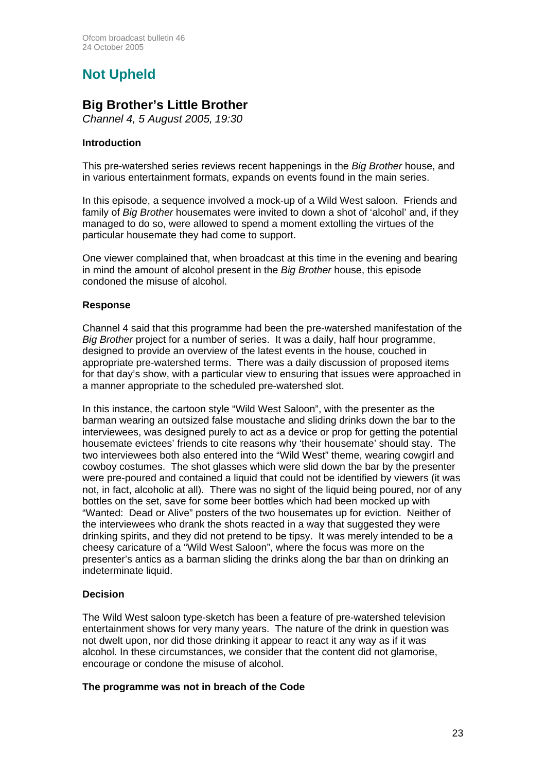## **Not Upheld**

## **Big Brother's Little Brother**

*Channel 4, 5 August 2005, 19:30* 

## **Introduction**

This pre-watershed series reviews recent happenings in the *Big Brother* house, and in various entertainment formats, expands on events found in the main series.

In this episode, a sequence involved a mock-up of a Wild West saloon. Friends and family of *Big Brother* housemates were invited to down a shot of 'alcohol' and, if they managed to do so, were allowed to spend a moment extolling the virtues of the particular housemate they had come to support.

One viewer complained that, when broadcast at this time in the evening and bearing in mind the amount of alcohol present in the *Big Brother* house, this episode condoned the misuse of alcohol.

## **Response**

Channel 4 said that this programme had been the pre-watershed manifestation of the *Big Brother* project for a number of series. It was a daily, half hour programme, designed to provide an overview of the latest events in the house, couched in appropriate pre-watershed terms. There was a daily discussion of proposed items for that day's show, with a particular view to ensuring that issues were approached in a manner appropriate to the scheduled pre-watershed slot.

In this instance, the cartoon style "Wild West Saloon", with the presenter as the barman wearing an outsized false moustache and sliding drinks down the bar to the interviewees, was designed purely to act as a device or prop for getting the potential housemate evictees' friends to cite reasons why 'their housemate' should stay. The two interviewees both also entered into the "Wild West" theme, wearing cowgirl and cowboy costumes. The shot glasses which were slid down the bar by the presenter were pre-poured and contained a liquid that could not be identified by viewers (it was not, in fact, alcoholic at all). There was no sight of the liquid being poured, nor of any bottles on the set, save for some beer bottles which had been mocked up with "Wanted: Dead or Alive" posters of the two housemates up for eviction. Neither of the interviewees who drank the shots reacted in a way that suggested they were drinking spirits, and they did not pretend to be tipsy. It was merely intended to be a cheesy caricature of a "Wild West Saloon", where the focus was more on the presenter's antics as a barman sliding the drinks along the bar than on drinking an indeterminate liquid.

## **Decision**

The Wild West saloon type-sketch has been a feature of pre-watershed television entertainment shows for very many years. The nature of the drink in question was not dwelt upon, nor did those drinking it appear to react it any way as if it was alcohol. In these circumstances, we consider that the content did not glamorise, encourage or condone the misuse of alcohol.

## **The programme was not in breach of the Code**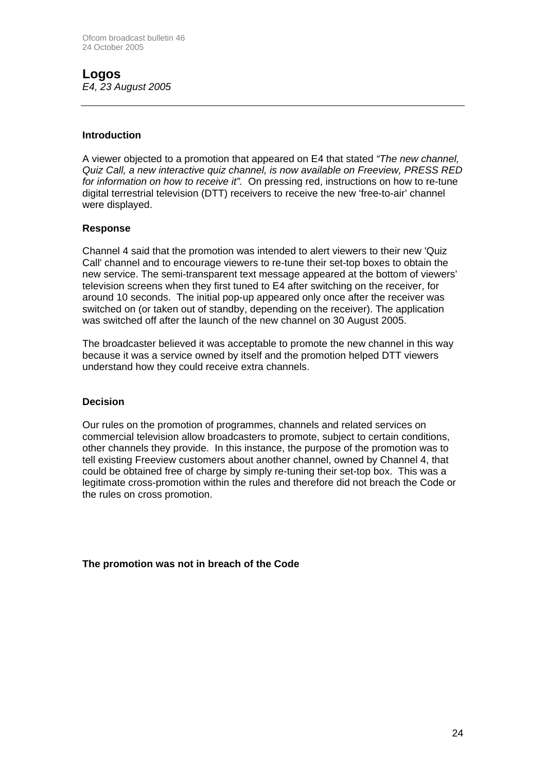## **Logos**  *E4, 23 August 2005*

### **Introduction**

A viewer objected to a promotion that appeared on E4 that stated *"The new channel, Quiz Call, a new interactive quiz channel, is now available on Freeview, PRESS RED for information on how to receive it".* On pressing red, instructions on how to re-tune digital terrestrial television (DTT) receivers to receive the new 'free-to-air' channel were displayed.

### **Response**

Channel 4 said that the promotion was intended to alert viewers to their new 'Quiz Call' channel and to encourage viewers to re-tune their set-top boxes to obtain the new service. The semi-transparent text message appeared at the bottom of viewers' television screens when they first tuned to E4 after switching on the receiver, for around 10 seconds. The initial pop-up appeared only once after the receiver was switched on (or taken out of standby, depending on the receiver). The application was switched off after the launch of the new channel on 30 August 2005.

The broadcaster believed it was acceptable to promote the new channel in this way because it was a service owned by itself and the promotion helped DTT viewers understand how they could receive extra channels.

#### **Decision**

Our rules on the promotion of programmes, channels and related services on commercial television allow broadcasters to promote, subject to certain conditions, other channels they provide. In this instance, the purpose of the promotion was to tell existing Freeview customers about another channel, owned by Channel 4, that could be obtained free of charge by simply re-tuning their set-top box. This was a legitimate cross-promotion within the rules and therefore did not breach the Code or the rules on cross promotion.

**The promotion was not in breach of the Code**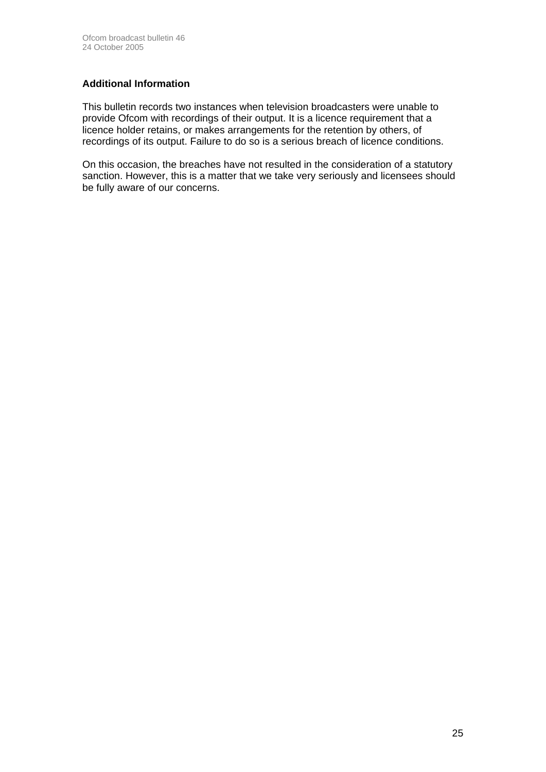## **Additional Information**

This bulletin records two instances when television broadcasters were unable to provide Ofcom with recordings of their output. It is a licence requirement that a licence holder retains, or makes arrangements for the retention by others, of recordings of its output. Failure to do so is a serious breach of licence conditions.

On this occasion, the breaches have not resulted in the consideration of a statutory sanction. However, this is a matter that we take very seriously and licensees should be fully aware of our concerns.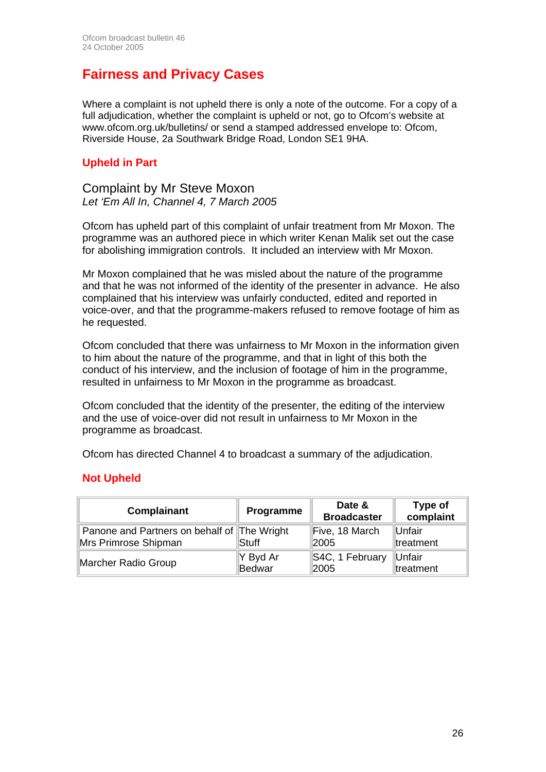## **Fairness and Privacy Cases**

Where a complaint is not upheld there is only a note of the outcome. For a copy of a full adjudication, whether the complaint is upheld or not, go to Ofcom's website at www.ofcom.org.uk/bulletins/ or send a stamped addressed envelope to: Ofcom, Riverside House, 2a Southwark Bridge Road, London SE1 9HA.

## **Upheld in Part**

Complaint by Mr Steve Moxon *Let 'Em All In, Channel 4, 7 March 2005* 

Ofcom has upheld part of this complaint of unfair treatment from Mr Moxon. The programme was an authored piece in which writer Kenan Malik set out the case for abolishing immigration controls. It included an interview with Mr Moxon.

Mr Moxon complained that he was misled about the nature of the programme and that he was not informed of the identity of the presenter in advance. He also complained that his interview was unfairly conducted, edited and reported in voice-over, and that the programme-makers refused to remove footage of him as he requested.

Ofcom concluded that there was unfairness to Mr Moxon in the information given to him about the nature of the programme, and that in light of this both the conduct of his interview, and the inclusion of footage of him in the programme, resulted in unfairness to Mr Moxon in the programme as broadcast.

Ofcom concluded that the identity of the presenter, the editing of the interview and the use of voice-over did not result in unfairness to Mr Moxon in the programme as broadcast.

Ofcom has directed Channel 4 to broadcast a summary of the adjudication.

## **Not Upheld**

| <b>Complainant</b>                          | Programme | Date &<br><b>Broadcaster</b> | Type of<br>complaint |  |
|---------------------------------------------|-----------|------------------------------|----------------------|--|
| Panone and Partners on behalf of The Wright | Stuff     | Five, 18 March               | Unfair               |  |
| Mrs Primrose Shipman                        |           | 2005                         | treatment            |  |
| Marcher Radio Group                         | Y Byd Ar  | S4C, 1 February              | Unfair               |  |
|                                             | Bedwar    | 2005                         | treatment            |  |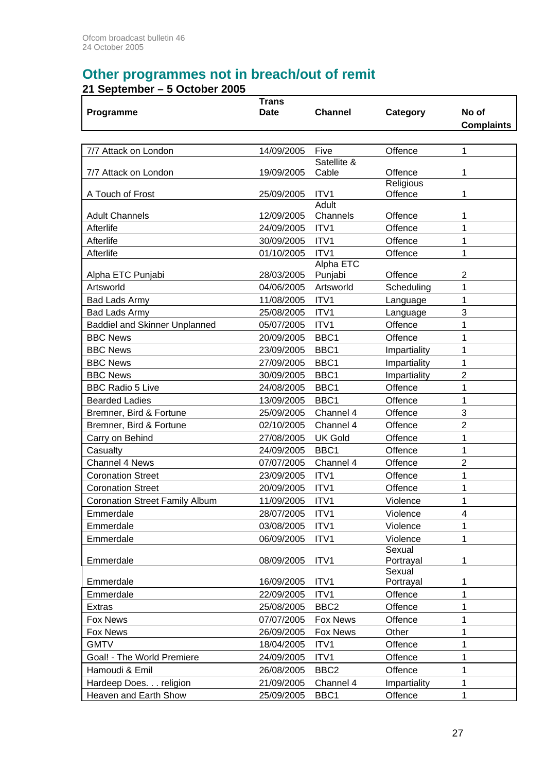## **Other programmes not in breach/out of remit**

## **21 September – 5 October 2005**

| <b>Date</b><br><b>Channel</b><br>Category<br>No of<br>Programme<br><b>Complaints</b><br>Five<br>Offence<br>1<br>7/7 Attack on London<br>14/09/2005<br>Satellite &<br>Offence<br>1<br>7/7 Attack on London<br>19/09/2005<br>Cable<br>Religious<br>ITV1<br>1<br>A Touch of Frost<br>25/09/2005<br>Offence<br><b>Adult</b><br><b>Adult Channels</b><br>12/09/2005<br>Channels<br>Offence<br>1<br>ITV1<br>1<br>Afterlife<br>24/09/2005<br>Offence<br>ITV1<br>Afterlife<br>30/09/2005<br>Offence<br>1<br>ITV1<br>Offence<br>Afterlife<br>01/10/2005<br>1 |
|-----------------------------------------------------------------------------------------------------------------------------------------------------------------------------------------------------------------------------------------------------------------------------------------------------------------------------------------------------------------------------------------------------------------------------------------------------------------------------------------------------------------------------------------------------|
|                                                                                                                                                                                                                                                                                                                                                                                                                                                                                                                                                     |
|                                                                                                                                                                                                                                                                                                                                                                                                                                                                                                                                                     |
|                                                                                                                                                                                                                                                                                                                                                                                                                                                                                                                                                     |
|                                                                                                                                                                                                                                                                                                                                                                                                                                                                                                                                                     |
|                                                                                                                                                                                                                                                                                                                                                                                                                                                                                                                                                     |
|                                                                                                                                                                                                                                                                                                                                                                                                                                                                                                                                                     |
|                                                                                                                                                                                                                                                                                                                                                                                                                                                                                                                                                     |
|                                                                                                                                                                                                                                                                                                                                                                                                                                                                                                                                                     |
|                                                                                                                                                                                                                                                                                                                                                                                                                                                                                                                                                     |
|                                                                                                                                                                                                                                                                                                                                                                                                                                                                                                                                                     |
|                                                                                                                                                                                                                                                                                                                                                                                                                                                                                                                                                     |
|                                                                                                                                                                                                                                                                                                                                                                                                                                                                                                                                                     |
| <b>Alpha ETC</b>                                                                                                                                                                                                                                                                                                                                                                                                                                                                                                                                    |
| Punjabi<br>Offence<br>Alpha ETC Punjabi<br>28/03/2005<br>2                                                                                                                                                                                                                                                                                                                                                                                                                                                                                          |
| Artsworld<br>1<br>Artsworld<br>04/06/2005<br>Scheduling                                                                                                                                                                                                                                                                                                                                                                                                                                                                                             |
| ITV1<br>1<br>11/08/2005<br><b>Bad Lads Army</b><br>Language                                                                                                                                                                                                                                                                                                                                                                                                                                                                                         |
| 3<br><b>Bad Lads Army</b><br>25/08/2005<br>ITV1<br>Language                                                                                                                                                                                                                                                                                                                                                                                                                                                                                         |
| <b>Baddiel and Skinner Unplanned</b><br>ITV1<br>Offence<br>1<br>05/07/2005                                                                                                                                                                                                                                                                                                                                                                                                                                                                          |
| 1<br><b>BBC News</b><br>20/09/2005<br>BBC1<br>Offence                                                                                                                                                                                                                                                                                                                                                                                                                                                                                               |
| 1<br><b>BBC News</b><br>23/09/2005<br>BBC1<br>Impartiality                                                                                                                                                                                                                                                                                                                                                                                                                                                                                          |
| <b>BBC News</b><br>BBC1<br>1<br>27/09/2005<br>Impartiality                                                                                                                                                                                                                                                                                                                                                                                                                                                                                          |
| <b>BBC News</b><br>BBC1<br>$\overline{2}$<br>30/09/2005<br>Impartiality                                                                                                                                                                                                                                                                                                                                                                                                                                                                             |
| <b>BBC Radio 5 Live</b><br>24/08/2005<br>BBC1<br>Offence<br>1                                                                                                                                                                                                                                                                                                                                                                                                                                                                                       |
| BBC1<br>Offence<br>1<br><b>Bearded Ladies</b><br>13/09/2005                                                                                                                                                                                                                                                                                                                                                                                                                                                                                         |
| 3<br>Offence<br>Bremner, Bird & Fortune<br>25/09/2005<br>Channel 4                                                                                                                                                                                                                                                                                                                                                                                                                                                                                  |
| $\overline{2}$<br>Bremner, Bird & Fortune<br>02/10/2005<br>Channel 4<br>Offence                                                                                                                                                                                                                                                                                                                                                                                                                                                                     |
| 1<br>Carry on Behind<br>27/08/2005<br><b>UK Gold</b><br>Offence                                                                                                                                                                                                                                                                                                                                                                                                                                                                                     |
| $\mathbf{1}$<br>BBC1<br>Offence<br>24/09/2005<br>Casualty                                                                                                                                                                                                                                                                                                                                                                                                                                                                                           |
| $\overline{2}$<br><b>Channel 4 News</b><br>07/07/2005<br>Channel 4<br>Offence                                                                                                                                                                                                                                                                                                                                                                                                                                                                       |
| ITV1<br>1<br><b>Coronation Street</b><br>23/09/2005<br>Offence                                                                                                                                                                                                                                                                                                                                                                                                                                                                                      |
| <b>Coronation Street</b><br>ITV1<br>Offence<br>1<br>20/09/2005                                                                                                                                                                                                                                                                                                                                                                                                                                                                                      |
| <b>Coronation Street Family Album</b><br>11/09/2005<br>ITV1<br>Violence<br>1                                                                                                                                                                                                                                                                                                                                                                                                                                                                        |
| Emmerdale<br>28/07/2005<br>ITV1<br>Violence<br>4                                                                                                                                                                                                                                                                                                                                                                                                                                                                                                    |
| Emmerdale<br>ITV1<br>Violence<br>1<br>03/08/2005                                                                                                                                                                                                                                                                                                                                                                                                                                                                                                    |
| Violence<br>1<br>Emmerdale<br>06/09/2005<br>ITV1                                                                                                                                                                                                                                                                                                                                                                                                                                                                                                    |
| Sexual                                                                                                                                                                                                                                                                                                                                                                                                                                                                                                                                              |
| Emmerdale<br>08/09/2005<br>ITV1<br>Portrayal<br>1                                                                                                                                                                                                                                                                                                                                                                                                                                                                                                   |
| Sexual<br>Emmerdale<br>16/09/2005<br>ITV1<br>Portrayal<br>1                                                                                                                                                                                                                                                                                                                                                                                                                                                                                         |
| ITV1<br>1<br>Emmerdale<br>22/09/2005<br>Offence                                                                                                                                                                                                                                                                                                                                                                                                                                                                                                     |
| 1<br>BBC <sub>2</sub><br>Offence<br>25/08/2005<br><b>Extras</b>                                                                                                                                                                                                                                                                                                                                                                                                                                                                                     |
| 1<br>Fox News<br>07/07/2005<br>Fox News<br>Offence                                                                                                                                                                                                                                                                                                                                                                                                                                                                                                  |
| 1<br>26/09/2005<br>Fox News<br>Other<br>Fox News                                                                                                                                                                                                                                                                                                                                                                                                                                                                                                    |
| 1<br><b>GMTV</b><br>18/04/2005<br>ITV1<br>Offence                                                                                                                                                                                                                                                                                                                                                                                                                                                                                                   |
| ITV1<br>1<br>Goal! - The World Premiere<br>24/09/2005<br>Offence                                                                                                                                                                                                                                                                                                                                                                                                                                                                                    |
| Hamoudi & Emil<br>BBC <sub>2</sub><br>Offence<br>1<br>26/08/2005                                                                                                                                                                                                                                                                                                                                                                                                                                                                                    |
| Hardeep Does. religion<br>21/09/2005<br>Channel 4<br>Impartiality<br>1                                                                                                                                                                                                                                                                                                                                                                                                                                                                              |
| 1<br>BBC1<br>Heaven and Earth Show<br>25/09/2005<br>Offence                                                                                                                                                                                                                                                                                                                                                                                                                                                                                         |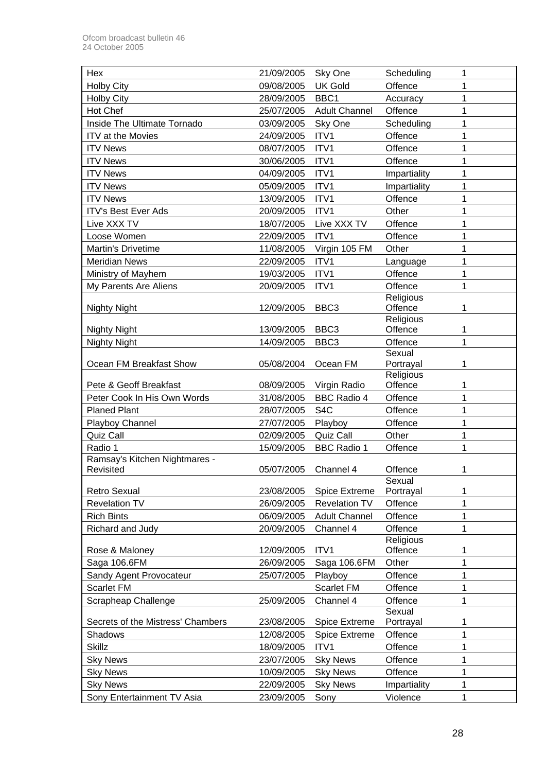| Hex                               | 21/09/2005 | Sky One              | Scheduling             | 1 |
|-----------------------------------|------------|----------------------|------------------------|---|
| <b>Holby City</b>                 | 09/08/2005 | <b>UK Gold</b>       | Offence                | 1 |
| <b>Holby City</b>                 | 28/09/2005 | BBC1                 | Accuracy               | 1 |
| Hot Chef                          | 25/07/2005 | <b>Adult Channel</b> | Offence                | 1 |
| Inside The Ultimate Tornado       | 03/09/2005 | Sky One              | Scheduling             | 1 |
| <b>ITV</b> at the Movies          | 24/09/2005 | ITV1                 | Offence                | 1 |
| <b>ITV News</b>                   | 08/07/2005 | ITV1                 | Offence                | 1 |
| <b>ITV News</b>                   | 30/06/2005 | ITV1                 | Offence                | 1 |
| <b>ITV News</b>                   | 04/09/2005 | ITV1                 | Impartiality           | 1 |
| <b>ITV News</b>                   | 05/09/2005 | ITV1                 | Impartiality           | 1 |
| <b>ITV News</b>                   | 13/09/2005 | ITV1                 | Offence                | 1 |
| <b>ITV's Best Ever Ads</b>        | 20/09/2005 | ITV1                 | Other                  | 1 |
| Live XXX TV                       | 18/07/2005 | Live XXX TV          | Offence                | 1 |
| Loose Women                       | 22/09/2005 | ITV1                 | Offence                | 1 |
| Martin's Drivetime                | 11/08/2005 | Virgin 105 FM        | Other                  | 1 |
| <b>Meridian News</b>              | 22/09/2005 | ITV1                 | Language               | 1 |
| Ministry of Mayhem                | 19/03/2005 | ITV1                 | Offence                | 1 |
| My Parents Are Aliens             | 20/09/2005 | ITV1                 | Offence                | 1 |
|                                   |            |                      | Religious              |   |
| <b>Nighty Night</b>               | 12/09/2005 | BBC <sub>3</sub>     | Offence                | 1 |
|                                   |            |                      | Religious              |   |
| <b>Nighty Night</b>               | 13/09/2005 | BBC <sub>3</sub>     | Offence                | 1 |
| <b>Nighty Night</b>               | 14/09/2005 | BBC <sub>3</sub>     | Offence                | 1 |
|                                   |            |                      | Sexual                 |   |
| Ocean FM Breakfast Show           | 05/08/2004 | Ocean FM             | Portrayal<br>Religious | 1 |
| Pete & Geoff Breakfast            | 08/09/2005 | Virgin Radio         | Offence                | 1 |
| Peter Cook In His Own Words       | 31/08/2005 | <b>BBC Radio 4</b>   | Offence                | 1 |
| <b>Planed Plant</b>               | 28/07/2005 | S <sub>4</sub> C     | Offence                | 1 |
| Playboy Channel                   | 27/07/2005 | Playboy              | Offence                | 1 |
| Quiz Call                         | 02/09/2005 | Quiz Call            | Other                  | 1 |
| Radio 1                           | 15/09/2005 | <b>BBC Radio 1</b>   | Offence                | 1 |
| Ramsay's Kitchen Nightmares -     |            |                      |                        |   |
| Revisited                         | 05/07/2005 | Channel 4            | Offence                | 1 |
|                                   |            |                      | Sexual                 |   |
| <b>Retro Sexual</b>               | 23/08/2005 | <b>Spice Extreme</b> | Portrayal              | 1 |
| <b>Revelation TV</b>              | 26/09/2005 | <b>Revelation TV</b> | Offence                | 1 |
| <b>Rich Bints</b>                 | 06/09/2005 | <b>Adult Channel</b> | Offence                | 1 |
| Richard and Judy                  | 20/09/2005 | Channel 4            | Offence                | 1 |
|                                   |            |                      | Religious              |   |
| Rose & Maloney                    | 12/09/2005 | ITV1                 | Offence                | 1 |
| Saga 106.6FM                      | 26/09/2005 | Saga 106.6FM         | Other                  | 1 |
| Sandy Agent Provocateur           | 25/07/2005 | Playboy              | Offence                | 1 |
| Scarlet FM                        |            | Scarlet FM           | Offence                | 1 |
| Scrapheap Challenge               | 25/09/2005 | Channel 4            | Offence<br>Sexual      | 1 |
| Secrets of the Mistress' Chambers | 23/08/2005 | <b>Spice Extreme</b> | Portrayal              | 1 |
| Shadows                           | 12/08/2005 | <b>Spice Extreme</b> | Offence                | 1 |
| <b>Skillz</b>                     | 18/09/2005 | ITV1                 | Offence                | 1 |
| <b>Sky News</b>                   | 23/07/2005 | <b>Sky News</b>      | Offence                | 1 |
| <b>Sky News</b>                   | 10/09/2005 | <b>Sky News</b>      | Offence                | 1 |
| <b>Sky News</b>                   | 22/09/2005 | <b>Sky News</b>      | Impartiality           | 1 |
| Sony Entertainment TV Asia        | 23/09/2005 | Sony                 | Violence               | 1 |